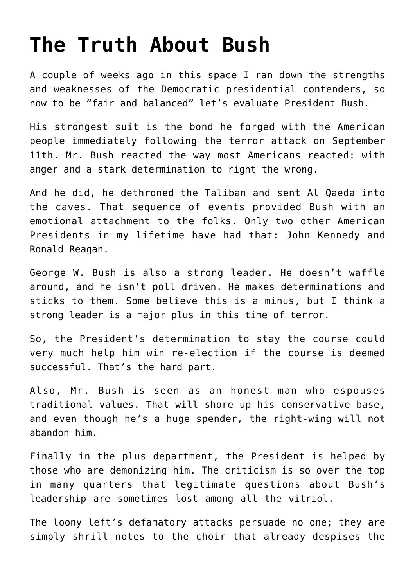## **[The Truth About Bush](https://bernardgoldberg.com/the-truth-about-bush/)**

A couple of weeks ago in this space I ran down the strengths and weaknesses of the Democratic presidential contenders, so now to be "fair and balanced" let's evaluate President Bush.

His strongest suit is the bond he forged with the American people immediately following the terror attack on September 11th. Mr. Bush reacted the way most Americans reacted: with anger and a stark determination to right the wrong.

And he did, he dethroned the Taliban and sent Al Qaeda into the caves. That sequence of events provided Bush with an emotional attachment to the folks. Only two other American Presidents in my lifetime have had that: John Kennedy and Ronald Reagan.

George W. Bush is also a strong leader. He doesn't waffle around, and he isn't poll driven. He makes determinations and sticks to them. Some believe this is a minus, but I think a strong leader is a major plus in this time of terror.

So, the President's determination to stay the course could very much help him win re-election if the course is deemed successful. That's the hard part.

Also, Mr. Bush is seen as an honest man who espouses traditional values. That will shore up his conservative base, and even though he's a huge spender, the right-wing will not abandon him.

Finally in the plus department, the President is helped by those who are demonizing him. The criticism is so over the top in many quarters that legitimate questions about Bush's leadership are sometimes lost among all the vitriol.

The loony left's defamatory attacks persuade no one; they are simply shrill notes to the choir that already despises the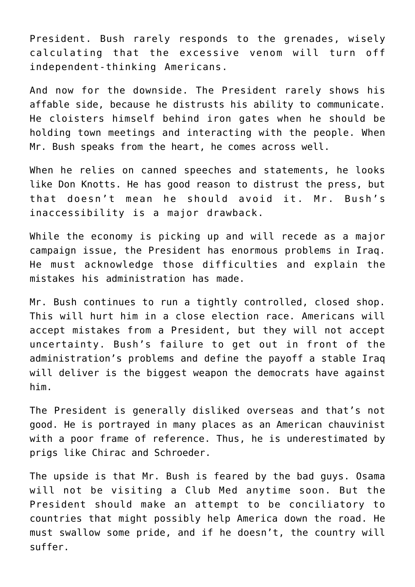President. Bush rarely responds to the grenades, wisely calculating that the excessive venom will turn off independent-thinking Americans.

And now for the downside. The President rarely shows his affable side, because he distrusts his ability to communicate. He cloisters himself behind iron gates when he should be holding town meetings and interacting with the people. When Mr. Bush speaks from the heart, he comes across well.

When he relies on canned speeches and statements, he looks like Don Knotts. He has good reason to distrust the press, but that doesn't mean he should avoid it. Mr. Bush's inaccessibility is a major drawback.

While the economy is picking up and will recede as a major campaign issue, the President has enormous problems in Iraq. He must acknowledge those difficulties and explain the mistakes his administration has made.

Mr. Bush continues to run a tightly controlled, closed shop. This will hurt him in a close election race. Americans will accept mistakes from a President, but they will not accept uncertainty. Bush's failure to get out in front of the administration's problems and define the payoff a stable Iraq will deliver is the biggest weapon the democrats have against him.

The President is generally disliked overseas and that's not good. He is portrayed in many places as an American chauvinist with a poor frame of reference. Thus, he is underestimated by prigs like Chirac and Schroeder.

The upside is that Mr. Bush is feared by the bad guys. Osama will not be visiting a Club Med anytime soon. But the President should make an attempt to be conciliatory to countries that might possibly help America down the road. He must swallow some pride, and if he doesn't, the country will suffer.